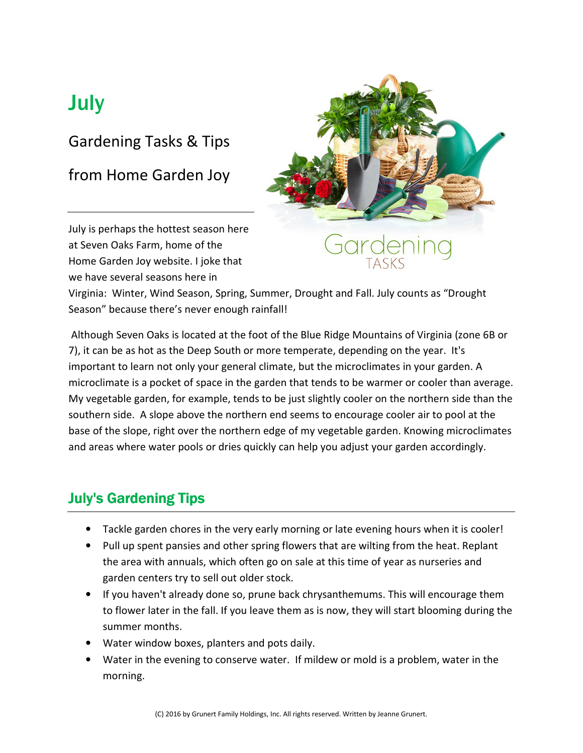## **July**

#### Gardening Tasks & Tips

from Home Garden Joy



July is perhaps the hottest season here at Seven Oaks Farm, home of the Home Garden Joy website. I joke that we have several seasons here in

Virginia: Winter, Wind Season, Spring, Summer, Drought and Fall. July counts as "Drought Season" because there's never enough rainfall!

 Although Seven Oaks is located at the foot of the Blue Ridge Mountains of Virginia (zone 6B or 7), it can be as hot as the Deep South or more temperate, depending on the year. It's important to learn not only your general climate, but the microclimates in your garden. A microclimate is a pocket of space in the garden that tends to be warmer or cooler than average. My vegetable garden, for example, tends to be just slightly cooler on the northern side than the southern side. A slope above the northern end seems to encourage cooler air to pool at the base of the slope, right over the northern edge of my vegetable garden. Knowing microclimates and areas where water pools or dries quickly can help you adjust your garden accordingly.

#### **July's Gardening Tips**

- Tackle garden chores in the very early morning or late evening hours when it is cooler!
- Pull up spent pansies and other spring flowers that are wilting from the heat. Replant the area with annuals, which often go on sale at this time of year as nurseries and garden centers try to sell out older stock.
- If you haven't already done so, prune back chrysanthemums. This will encourage them to flower later in the fall. If you leave them as is now, they will start blooming during the summer months.
- Water window boxes, planters and pots daily.
- Water in the evening to conserve water. If mildew or mold is a problem, water in the morning.